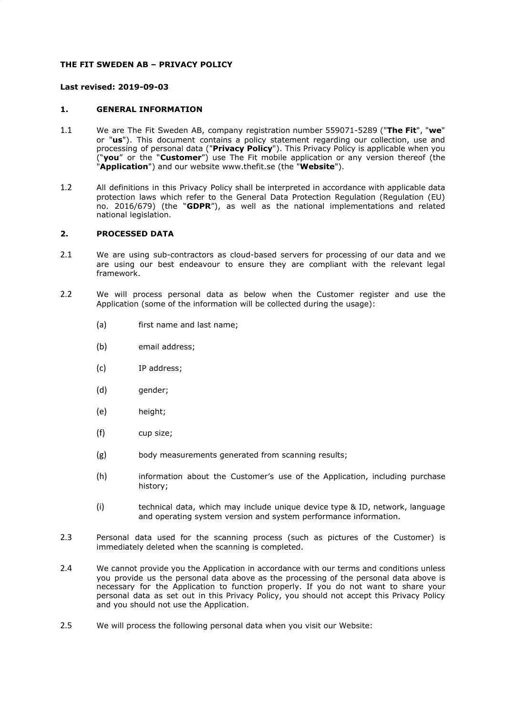## **THE FIT SWEDEN AB – PRIVACY POLICY**

### **Last revised: 2019-09-03**

## **1. GENERAL INFORMATION**

- 1.1 We are The Fit Sweden AB, company registration number 559071-5289 ("**The Fit**", "**we**" or "**us**"). This document contains a policy statement regarding our collection, use and processing of personal data ("**Privacy Policy**"). This Privacy Policy is applicable when you ("**you**" or the "**Customer**") use The Fit mobile application or any version thereof (the "**Application**") and our website www.thefit.se (the "**Website**").
- 1.2 All definitions in this Privacy Policy shall be interpreted in accordance with applicable data protection laws which refer to the General Data Protection Regulation (Regulation (EU) no. 2016/679) (the "**GDPR**"), as well as the national implementations and related national legislation.

#### **2. PROCESSED DATA**

- 2.1 We are using sub-contractors as cloud-based servers for processing of our data and we are using our best endeavour to ensure they are compliant with the relevant legal framework.
- 2.2 We will process personal data as below when the Customer register and use the Application (some of the information will be collected during the usage):
	- (a) first name and last name;
	- (b) email address;
	- (c) IP address;
	- (d) gender;
	- (e) height;
	- (f) cup size;
	- (g) body measurements generated from scanning results;
	- (h) information about the Customer's use of the Application, including purchase history;
	- (i) technical data, which may include unique device type & ID, network, language and operating system version and system performance information.
- 2.3 Personal data used for the scanning process (such as pictures of the Customer) is immediately deleted when the scanning is completed.
- 2.4 We cannot provide you the Application in accordance with our terms and conditions unless you provide us the personal data above as the processing of the personal data above is necessary for the Application to function properly. If you do not want to share your personal data as set out in this Privacy Policy, you should not accept this Privacy Policy and you should not use the Application.
- 2.5 We will process the following personal data when you visit our Website: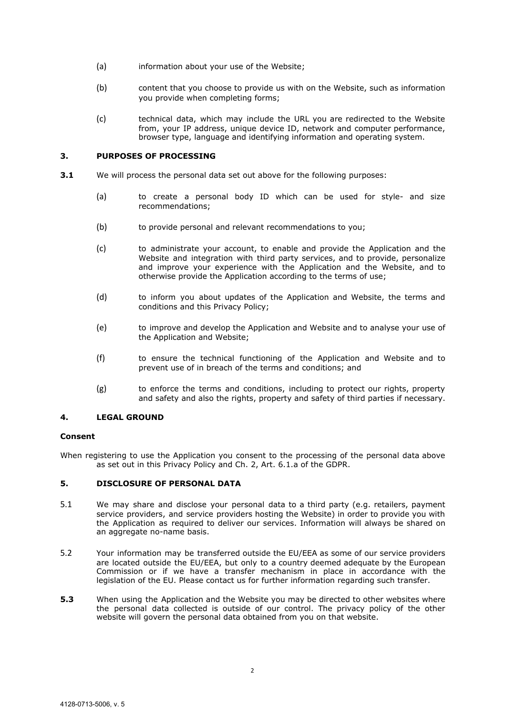- (a) information about your use of the Website;
- (b) content that you choose to provide us with on the Website, such as information you provide when completing forms;
- (c) technical data, which may include the URL you are redirected to the Website from, your IP address, unique device ID, network and computer performance, browser type, language and identifying information and operating system.

# **3. PURPOSES OF PROCESSING**

- **3.1** We will process the personal data set out above for the following purposes:
	- (a) to create a personal body ID which can be used for style- and size recommendations;
	- (b) to provide personal and relevant recommendations to you;
	- (c) to administrate your account, to enable and provide the Application and the Website and integration with third party services, and to provide, personalize and improve your experience with the Application and the Website, and to otherwise provide the Application according to the terms of use;
	- (d) to inform you about updates of the Application and Website, the terms and conditions and this Privacy Policy;
	- (e) to improve and develop the Application and Website and to analyse your use of the Application and Website;
	- (f) to ensure the technical functioning of the Application and Website and to prevent use of in breach of the terms and conditions; and
	- (g) to enforce the terms and conditions, including to protect our rights, property and safety and also the rights, property and safety of third parties if necessary.

#### **4. LEGAL GROUND**

### **Consent**

When registering to use the Application you consent to the processing of the personal data above as set out in this Privacy Policy and Ch. 2, Art. 6.1.a of the GDPR.

### **5. DISCLOSURE OF PERSONAL DATA**

- 5.1 We may share and disclose your personal data to a third party (e.g. retailers, payment service providers, and service providers hosting the Website) in order to provide you with the Application as required to deliver our services. Information will always be shared on an aggregate no-name basis.
- 5.2 Your information may be transferred outside the EU/EEA as some of our service providers are located outside the EU/EEA, but only to a country deemed adequate by the European Commission or if we have a transfer mechanism in place in accordance with the legislation of the EU. Please contact us for further information regarding such transfer.
- **5.3** When using the Application and the Website you may be directed to other websites where the personal data collected is outside of our control. The privacy policy of the other website will govern the personal data obtained from you on that website.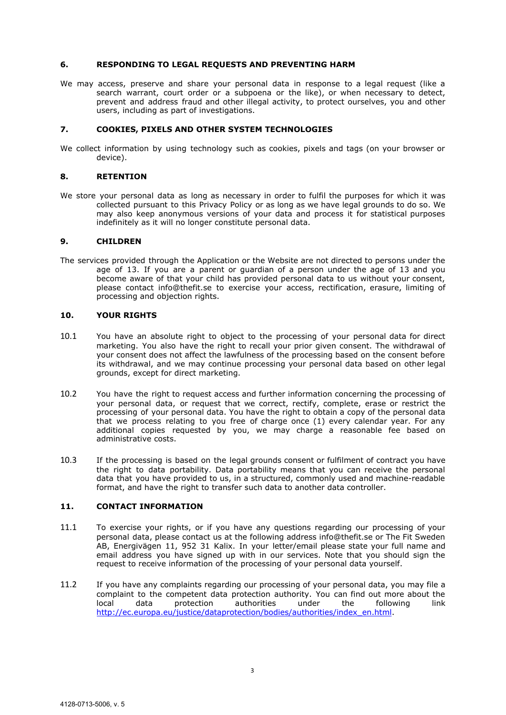## **6. RESPONDING TO LEGAL REQUESTS AND PREVENTING HARM**

We may access, preserve and share your personal data in response to a legal request (like a search warrant, court order or a subpoena or the like), or when necessary to detect, prevent and address fraud and other illegal activity, to protect ourselves, you and other users, including as part of investigations.

#### **7. COOKIES, PIXELS AND OTHER SYSTEM TECHNOLOGIES**

We collect information by using technology such as cookies, pixels and tags (on your browser or device).

## **8. RETENTION**

We store your personal data as long as necessary in order to fulfil the purposes for which it was collected pursuant to this Privacy Policy or as long as we have legal grounds to do so. We may also keep anonymous versions of your data and process it for statistical purposes indefinitely as it will no longer constitute personal data.

#### **9. CHILDREN**

The services provided through the Application or the Website are not directed to persons under the age of 13. If you are a parent or guardian of a person under the age of 13 and you become aware of that your child has provided personal data to us without your consent, please contact info@thefit.se to exercise your access, rectification, erasure, limiting of processing and objection rights.

# **10. YOUR RIGHTS**

- 10.1 You have an absolute right to object to the processing of your personal data for direct marketing. You also have the right to recall your prior given consent. The withdrawal of your consent does not affect the lawfulness of the processing based on the consent before its withdrawal, and we may continue processing your personal data based on other legal grounds, except for direct marketing.
- 10.2 You have the right to request access and further information concerning the processing of your personal data, or request that we correct, rectify, complete, erase or restrict the processing of your personal data. You have the right to obtain a copy of the personal data that we process relating to you free of charge once (1) every calendar year. For any additional copies requested by you, we may charge a reasonable fee based on administrative costs.
- 10.3 If the processing is based on the legal grounds consent or fulfilment of contract you have the right to data portability. Data portability means that you can receive the personal data that you have provided to us, in a structured, commonly used and machine-readable format, and have the right to transfer such data to another data controller.

## **11. CONTACT INFORMATION**

- 11.1 To exercise your rights, or if you have any questions regarding our processing of your personal data, please contact us at the following address info@thefit.se or The Fit Sweden AB, Energivägen 11, 952 31 Kalix. In your letter/email please state your full name and email address you have signed up with in our services. Note that you should sign the request to receive information of the processing of your personal data yourself.
- 11.2 If you have any complaints regarding our processing of your personal data, you may file a complaint to the competent data protection authority. You can find out more about the local data protection authorities under the following link http://ec.europa.eu/justice/dataprotection/bodies/authorities/index\_en.html